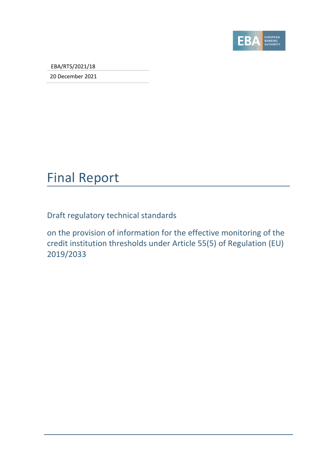

EBA/RTS/2021/18

20 December 2021

## Final Report

Draft regulatory technical standards

on the provision of information for the effective monitoring of the credit institution thresholds under Article 55(5) of Regulation (EU) 2019/2033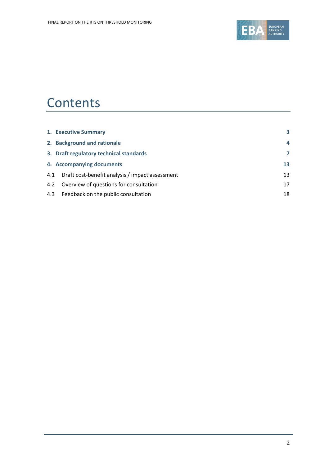

## **Contents**

|     | 1. Executive Summary                            | 3  |
|-----|-------------------------------------------------|----|
|     | 2. Background and rationale                     | 4  |
|     | 3. Draft regulatory technical standards         | 7  |
|     | 4. Accompanying documents                       | 13 |
| 4.1 | Draft cost-benefit analysis / impact assessment | 13 |
|     | 4.2 Overview of questions for consultation      | 17 |
|     | 4.3 Feedback on the public consultation         | 18 |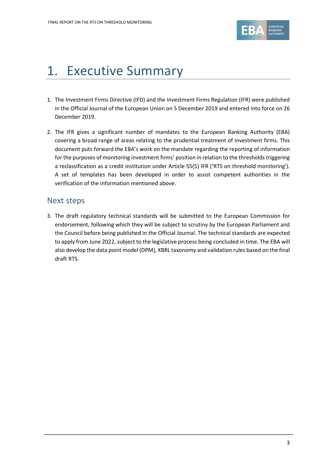

# <span id="page-2-0"></span>1. Executive Summary

- 1. The Investment Firms Directive (IFD) and the Investment Firms Regulation (IFR) were published in the Official Journal of the European Union on 5 December 2019 and entered into force on 26 December 2019.
- 2. The IFR gives a significant number of mandates to the European Banking Authority (EBA) covering a broad range of areas relating to the prudential treatment of investment firms. This document puts forward the EBA's work on the mandate regarding the reporting of information for the purposes of monitoring investment firms' position in relation to the thresholds triggering a reclassification as a credit institution under Article 55(5) IFR ('RTS on threshold monitoring'). A set of templates has been developed in order to assist competent authorities in the verification of the information mentioned above.

### Next steps

3. The draft regulatory technical standards will be submitted to the European Commission for endorsement, following which they will be subject to scrutiny by the European Parliament and the Council before being published in the Official Journal. The technical standards are expected to apply from June 2022, subject to the legislative process being concluded in time. The EBA will also develop the data point model (DPM), XBRL taxonomy and validation rules based on the final draft RTS.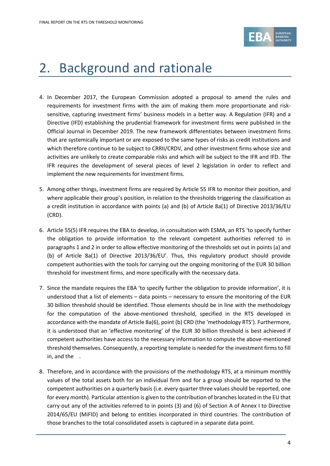

# <span id="page-3-0"></span>2. Background and rationale

- 4. In December 2017, the European Commission adopted a proposal to amend the rules and requirements for investment firms with the aim of making them more proportionate and risksensitive, capturing investment firms' business models in a better way. A Regulation (IFR) and a Directive (IFD) establishing the prudential framework for investment firms were published in the Official Journal in December 2019. The new framework differentiates between investment firms that are systemically important or are exposed to the same types of risks as credit institutions and which therefore continue to be subject to CRRII/CRDV, and other investment firms whose size and activities are unlikely to create comparable risks and which will be subject to the IFR and IFD. The IFR requires the development of several pieces of level 2 legislation in order to reflect and implement the new requirements for investment firms.
- 5. Among other things, investment firms are required by Article 55 IFR to monitor their position, and where applicable their group's position, in relation to the thresholds triggering the classification as a credit institution in accordance with points (a) and (b) of Article 8a(1) of Directive 2013/36/EU (CRD).
- 6. Article 55(5) IFR requires the EBA to develop, in consultation with ESMA, an RTS 'to specify further the obligation to provide information to the relevant competent authorities referred to in paragraphs 1 and 2 in order to allow effective monitoring of the thresholds set out in points (a) and (b) of Article 8a(1) of Directive 2013/36/EU'. Thus, this regulatory product should provide competent authorities with the tools for carrying out the ongoing monitoring of the EUR 30 billion threshold for investment firms, and more specifically with the necessary data.
- 7. Since the mandate requires the EBA 'to specify further the obligation to provide information', it is understood that a list of elements – data points – necessary to ensure the monitoring of the EUR 30 billion threshold should be identified. Those elements should be in line with the methodology for the computation of the above-mentioned threshold, specified in the RTS developed in accordance with the mandate of Article 8a(6), point (b) CRD (the 'methodology RTS'). Furthermore, it is understood that an 'effective monitoring' of the EUR 30 billion threshold is best achieved if competent authorities have access to the necessary information to compute the above-mentioned threshold themselves. Consequently, a reporting template is needed for the investment firms to fill in, and the .
- 8. Therefore, and in accordance with the provisions of the methodology RTS, at a minimum monthly values of the total assets both for an individual firm and for a group should be reported to the competent authorities on a quarterly basis (i.e. every quarter three values should be reported, one for every month). Particular attention is given to the contribution of branches located in the EU that carry out any of the activities referred to in points (3) and (6) of Section A of Annex I to Directive 2014/65/EU (MiFID) and belong to entities incorporated in third countries. The contribution of those branches to the total consolidated assets is captured in a separate data point.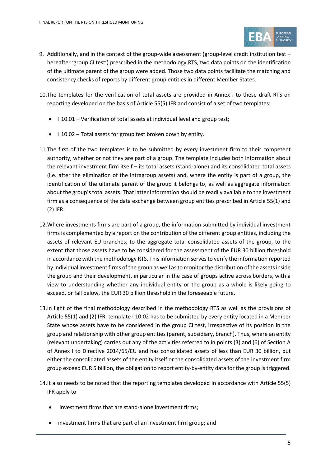

- 9. Additionally, and in the context of the group-wide assessment (group-level credit institution test hereafter 'group CI test') prescribed in the methodology RTS, two data points on the identification of the ultimate parent of the group were added. Those two data points facilitate the matching and consistency checks of reports by different group entities in different Member States.
- 10.The templates for the verification of total assets are provided in Annex I to these draft RTS on reporting developed on the basis of Article 55(5) IFR and consist of a set of two templates:
	- I 10.01 Verification of total assets at individual level and group test;
	- I 10.02 Total assets for group test broken down by entity.
- 11.The first of the two templates is to be submitted by every investment firm to their competent authority, whether or not they are part of a group. The template includes both information about the relevant investment firm itself – its total assets (stand-alone) and its consolidated total assets (i.e. after the elimination of the intragroup assets) and, where the entity is part of a group, the identification of the ultimate parent of the group it belongs to, as well as aggregate information about the group's total assets. That latter information should be readily available to the investment firm as a consequence of the data exchange between group entities prescribed in Article 55(1) and (2) IFR.
- 12.Where investments firms are part of a group, the information submitted by individual investment firms is complemented by a report on the contribution of the different group entities, including the assets of relevant EU branches, to the aggregate total consolidated assets of the group, to the extent that those assets have to be considered for the assessment of the EUR 30 billion threshold in accordance with the methodology RTS. This information serves to verify the information reported by individual investment firms of the group as well as to monitor the distribution of the assets inside the group and their development, in particular in the case of groups active across borders, with a view to understanding whether any individual entity or the group as a whole is likely going to exceed, or fall below, the EUR 30 billion threshold in the foreseeable future.
- 13.In light of the final methodology described in the methodology RTS as well as the provisions of Article 55(1) and (2) IFR, template I 10.02 has to be submitted by every entity located in a Member State whose assets have to be considered in the group CI test, irrespective of its position in the group and relationship with other group entities (parent, subsidiary, branch). Thus, where an entity (relevant undertaking) carries out any of the activities referred to in points (3) and (6) of Section A of Annex I to Directive 2014/65/EU and has consolidated assets of less than EUR 30 billion, but either the consolidated assets of the entity itself or the consolidated assets of the investment firm group exceed EUR 5 billion, the obligation to report entity-by-entity data for the group is triggered.
- 14.It also needs to be noted that the reporting templates developed in accordance with Article 55(5) IFR apply to
	- investment firms that are stand-alone investment firms;
	- investment firms that are part of an investment firm group; and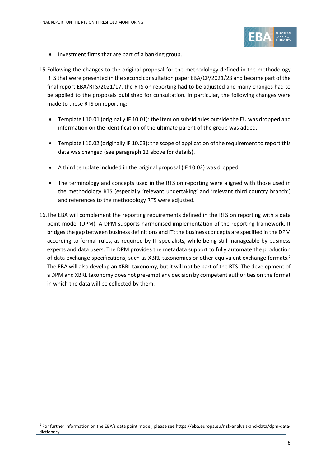

- investment firms that are part of a banking group.
- 15.Following the changes to the original proposal for the methodology defined in the methodology RTS that were presented in the second consultation paper EBA/CP/2021/23 and became part of the final report EBA/RTS/2021/17, the RTS on reporting had to be adjusted and many changes had to be applied to the proposals published for consultation. In particular, the following changes were made to these RTS on reporting:
	- Template I 10.01 (originally IF 10.01): the item on subsidiaries outside the EU was dropped and information on the identification of the ultimate parent of the group was added.
	- Template I 10.02 (originally IF 10.03): the scope of application of the requirement to report this data was changed (see paragraph 12 above for details).
	- A third template included in the original proposal (IF 10.02) was dropped.
	- The terminology and concepts used in the RTS on reporting were aligned with those used in the methodology RTS (especially 'relevant undertaking' and 'relevant third country branch') and references to the methodology RTS were adjusted.
- 16.The EBA will complement the reporting requirements defined in the RTS on reporting with a data point model (DPM). A DPM supports harmonised implementation of the reporting framework. It bridges the gap between business definitions and IT: the business concepts are specified in the DPM according to formal rules, as required by IT specialists, while being still manageable by business experts and data users. The DPM provides the metadata support to fully automate the production of data exchange specifications, such as XBRL taxonomies or other equivalent exchange formats.<sup>1</sup> The EBA will also develop an XBRL taxonomy, but it will not be part of the RTS. The development of a DPM and XBRL taxonomy does not pre-empt any decision by competent authorities on the format in which the data will be collected by them.

 $^1$  For further information on the EBA's data point model, please see https://eba.europa.eu/risk-analysis-and-data/dpm-datadictionary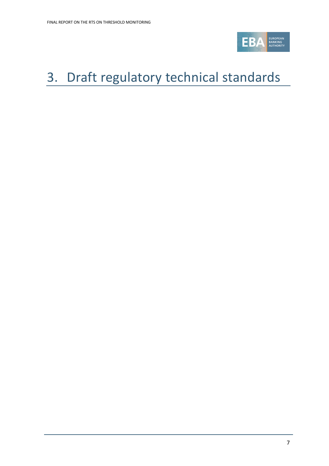

# <span id="page-6-0"></span>3. Draft regulatory technical standards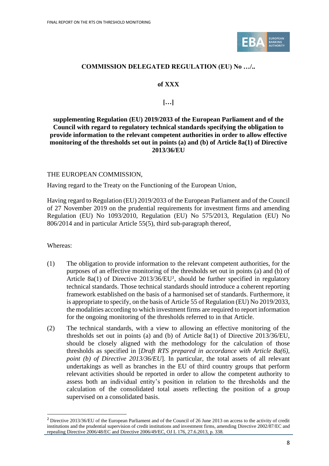

#### **COMMISSION DELEGATED REGULATION (EU) No …/..**

#### **of XXX**

### **[…]**

#### **supplementing Regulation (EU) 2019/2033 of the European Parliament and of the Council with regard to regulatory technical standards specifying the obligation to provide information to the relevant competent authorities in order to allow effective monitoring of the thresholds set out in points (a) and (b) of Article 8a(1) of Directive 2013/36/EU**

#### THE EUROPEAN COMMISSION,

Having regard to the Treaty on the Functioning of the European Union,

Having regard to Regulation (EU) 2019/2033 of the European Parliament and of the Council of 27 November 2019 on the prudential requirements for investment firms and amending Regulation (EU) No 1093/2010, Regulation (EU) No 575/2013, Regulation (EU) No 806/2014 and in particular Article 55(5), third sub-paragraph thereof,

Whereas:

- (1) The obligation to provide information to the relevant competent authorities, for the purposes of an effective monitoring of the thresholds set out in points (a) and (b) of Article  $8a(1)$  of Directive  $2013/36/EU^2$ , should be further specified in regulatory technical standards. Those technical standards should introduce a coherent reporting framework established on the basis of a harmonised set of standards. Furthermore, it is appropriate to specify, on the basis of Article 55 of Regulation (EU) No 2019/2033, the modalities according to which investment firms are required to report information for the ongoing monitoring of the thresholds referred to in that Article.
- (2) The technical standards, with a view to allowing an effective monitoring of the thresholds set out in points (a) and (b) of Article 8a(1) of Directive 2013/36/EU, should be closely aligned with the methodology for the calculation of those thresholds as specified in [*Draft RTS prepared in accordance with Article 8a(6), point (b) of Directive 2013/36/EU*]. In particular, the total assets of all relevant undertakings as well as branches in the EU of third country groups that perform relevant activities should be reported in order to allow the competent authority to assess both an individual entity's position in relation to the thresholds and the calculation of the consolidated total assets reflecting the position of a group supervised on a consolidated basis.

<sup>2</sup> Directive 2013/36/EU of the European Parliament and of the Council of 26 June 2013 on access to the activity of credit institutions and the prudential supervision of credit institutions and investment firms, amending Directive 2002/87/EC and repealing Directive 2006/48/EC and Directive 2006/49/EC, OJ L 176, 27.6.2013, p. 338.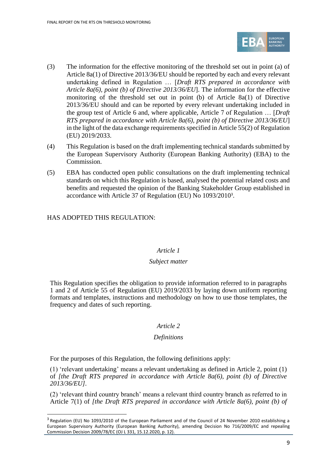

- (3) The information for the effective monitoring of the threshold set out in point (a) of Article 8a(1) of Directive 2013/36/EU should be reported by each and every relevant undertaking defined in Regulation … [*Draft RTS prepared in accordance with Article 8a(6), point (b) of Directive 2013/36/EU*]. The information for the effective monitoring of the threshold set out in point (b) of Article 8a(1) of Directive 2013/36/EU should and can be reported by every relevant undertaking included in the group test of Article 6 and, where applicable, Article 7 of Regulation … [*Draft RTS prepared in accordance with Article 8a(6), point (b) of Directive 2013/36/EU*] in the light of the data exchange requirements specified in Article 55(2) of Regulation (EU) 2019/2033.
- (4) This Regulation is based on the draft implementing technical standards submitted by the European Supervisory Authority (European Banking Authority) (EBA) to the Commission.
- (5) EBA has conducted open public consultations on the draft implementing technical standards on which this Regulation is based, analysed the potential related costs and benefits and requested the opinion of the Banking Stakeholder Group established in accordance with Article 37 of Regulation (EU) No 1093/2010<sup>3</sup> .

### HAS ADOPTED THIS REGULATION:

#### *Article 1*

#### *Subject matter*

This Regulation specifies the obligation to provide information referred to in paragraphs 1 and 2 of Article 55 of Regulation (EU) 2019/2033 by laying down uniform reporting formats and templates, instructions and methodology on how to use those templates, the frequency and dates of such reporting.

#### *Article 2*

#### *Definitions*

For the purposes of this Regulation, the following definitions apply:

(1) 'relevant undertaking' means a relevant undertaking as defined in Article 2, point (1) of *[the Draft RTS prepared in accordance with Article 8a(6), point (b) of Directive 2013/36/EU]*.

(2) 'relevant third country branch' means a relevant third country branch as referred to in Article 7(1) of *[the Draft RTS prepared in accordance with Article 8a(6), point (b) of* 

<sup>&</sup>lt;sup>3</sup> Regulation (EU) No 1093/2010 of the European Parliament and of the Council of 24 November 2010 establishing a European Supervisory Authority (European Banking Authority), amending Decision No 716/2009/EC and repealing Commission Decision 2009/78/EC (OJ L 331, 15.12.2020, p. 12).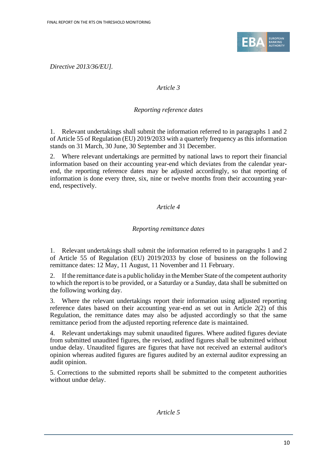

*Directive 2013/36/EU].*

### *Article 3*

### *Reporting reference dates*

1. Relevant undertakings shall submit the information referred to in paragraphs 1 and 2 of Article 55 of Regulation (EU) 2019/2033 with a quarterly frequency as this information stands on 31 March, 30 June, 30 September and 31 December.

2. Where relevant undertakings are permitted by national laws to report their financial information based on their accounting year-end which deviates from the calendar yearend, the reporting reference dates may be adjusted accordingly, so that reporting of information is done every three, six, nine or twelve months from their accounting yearend, respectively.

### *Article 4*

### *Reporting remittance dates*

1. Relevant undertakings shall submit the information referred to in paragraphs 1 and 2 of Article 55 of Regulation (EU) 2019/2033 by close of business on the following remittance dates: 12 May, 11 August, 11 November and 11 February.

2. If the remittance date is a public holiday in the Member State of the competent authority to which the report isto be provided, or a Saturday or a Sunday, data shall be submitted on the following working day.

3. Where the relevant undertakings report their information using adjusted reporting reference dates based on their accounting year-end as set out in Article 2(2) of this Regulation, the remittance dates may also be adjusted accordingly so that the same remittance period from the adjusted reporting reference date is maintained.

4. Relevant undertakings may submit unaudited figures. Where audited figures deviate from submitted unaudited figures, the revised, audited figures shall be submitted without undue delay. Unaudited figures are figures that have not received an external auditor's opinion whereas audited figures are figures audited by an external auditor expressing an audit opinion.

5. Corrections to the submitted reports shall be submitted to the competent authorities without undue delay.

*Article 5*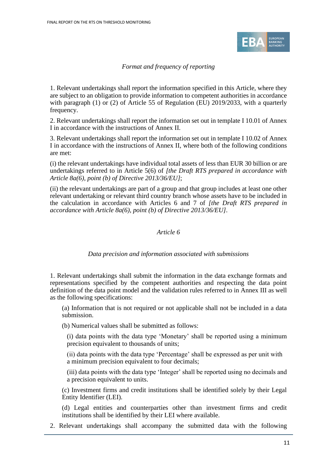

### *Format and frequency of reporting*

1. Relevant undertakings shall report the information specified in this Article, where they are subject to an obligation to provide information to competent authorities in accordance with paragraph (1) or (2) of Article 55 of Regulation (EU) 2019/2033, with a quarterly frequency.

2. Relevant undertakings shall report the information set out in template I 10.01 of Annex I in accordance with the instructions of Annex II.

3. Relevant undertakings shall report the information set out in template I 10.02 of Annex I in accordance with the instructions of Annex II, where both of the following conditions are met:

(i) the relevant undertakings have individual total assets of less than EUR 30 billion or are undertakings referred to in Article 5(6) of *[the Draft RTS prepared in accordance with Article 8a(6), point (b) of Directive 2013/36/EU]*;

(ii) the relevant undertakings are part of a group and that group includes at least one other relevant undertaking or relevant third country branch whose assets have to be included in the calculation in accordance with Articles 6 and 7 of *[the Draft RTS prepared in accordance with Article 8a(6), point (b) of Directive 2013/36/EU]*.

#### *Article 6*

#### *Data precision and information associated with submissions*

1. Relevant undertakings shall submit the information in the data exchange formats and representations specified by the competent authorities and respecting the data point definition of the data point model and the validation rules referred to in Annex III as well as the following specifications:

(a) Information that is not required or not applicable shall not be included in a data submission.

(b) Numerical values shall be submitted as follows:

(i) data points with the data type 'Monetary' shall be reported using a minimum precision equivalent to thousands of units;

(ii) data points with the data type 'Percentage' shall be expressed as per unit with a minimum precision equivalent to four decimals;

(iii) data points with the data type 'Integer' shall be reported using no decimals and a precision equivalent to units.

(c) Investment firms and credit institutions shall be identified solely by their Legal Entity Identifier (LEI).

(d) Legal entities and counterparties other than investment firms and credit institutions shall be identified by their LEI where available.

2. Relevant undertakings shall accompany the submitted data with the following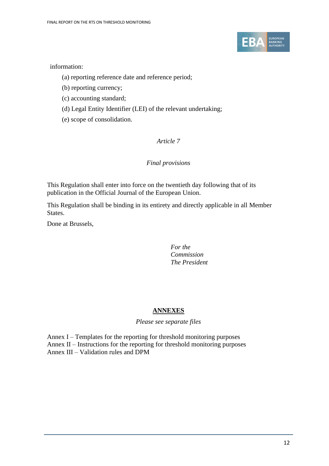

#### information:

- (a) reporting reference date and reference period;
- (b) reporting currency;
- (c) accounting standard;
- (d) Legal Entity Identifier (LEI) of the relevant undertaking;
- (e) scope of consolidation.

### *Article 7*

### *Final provisions*

This Regulation shall enter into force on the twentieth day following that of its publication in the Official Journal of the European Union.

This Regulation shall be binding in its entirety and directly applicable in all Member States.

Done at Brussels,

#### *For the Commission The President*

### **ANNEXES**

*Please see separate files*

Annex I – Templates for the reporting for threshold monitoring purposes Annex II – Instructions for the reporting for threshold monitoring purposes Annex III – Validation rules and DPM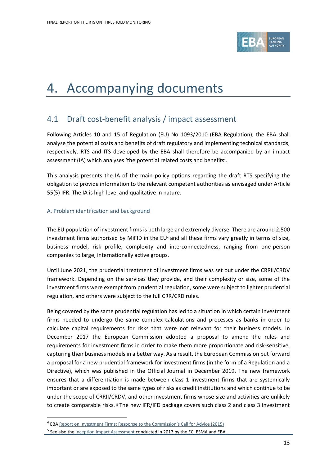

# <span id="page-12-0"></span>4. Accompanying documents

## <span id="page-12-1"></span>4.1 Draft cost-benefit analysis / impact assessment

Following Articles 10 and 15 of Regulation (EU) No 1093/2010 (EBA Regulation), the EBA shall analyse the potential costs and benefits of draft regulatory and implementing technical standards, respectively. RTS and ITS developed by the EBA shall therefore be accompanied by an impact assessment (IA) which analyses 'the potential related costs and benefits'.

This analysis presents the IA of the main policy options regarding the draft RTS specifying the obligation to provide information to the relevant competent authorities as envisaged under Article 55(5) IFR. The IA is high level and qualitative in nature.

#### A. Problem identification and background

The EU population of investment firms is both large and extremely diverse. There are around 2,500 investment firms authorised by MiFID in the EU<sup>4</sup> and all these firms vary greatly in terms of size, business model, risk profile, complexity and interconnectedness, ranging from one-person companies to large, internationally active groups.

Until June 2021, the prudential treatment of investment firms was set out under the CRRII/CRDV framework. Depending on the services they provide, and their complexity or size, some of the investment firms were exempt from prudential regulation, some were subject to lighter prudential regulation, and others were subject to the full CRR/CRD rules.

Being covered by the same prudential regulation has led to a situation in which certain investment firms needed to undergo the same complex calculations and processes as banks in order to calculate capital requirements for risks that were not relevant for their business models. In December 2017 the European Commission adopted a proposal to amend the rules and requirements for investment firms in order to make them more proportionate and risk-sensitive, capturing their business models in a better way. As a result, the European Commission put forward a proposal for a new prudential framework for investment firms (in the form of a Regulation and a Directive), which was published in the Official Journal in December 2019. The new framework ensures that a differentiation is made between class 1 investment firms that are systemically important or are exposed to the same types of risks as credit institutions and which continue to be under the scope of CRRII/CRDV, and other investment firms whose size and activities are unlikely to create comparable risks.<sup>5</sup> The new IFR/IFD package covers such class 2 and class 3 investment

<sup>&</sup>lt;sup>4</sup> EBA Report on Investment Firms: [Response to the Commission's Call for Advice \(2015\)](https://eba.europa.eu/sites/default/documents/files/documents/10180/983359/0bd8f11e-4a5e-4e33-ad13-d9dbe23ea1af/EBA-Op-2015-20%20Report%20on%20investment%20firms.pdf)

<sup>&</sup>lt;sup>5</sup> See also the *Inception Impact Assessment conducted in 2017 by the EC*, ESMA and EBA.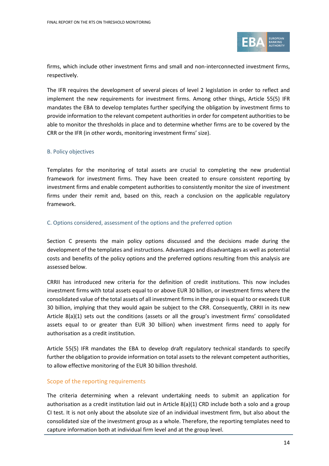

firms, which include other investment firms and small and non-interconnected investment firms, respectively.

The IFR requires the development of several pieces of level 2 legislation in order to reflect and implement the new requirements for investment firms. Among other things, Article 55(5) IFR mandates the EBA to develop templates further specifying the obligation by investment firms to provide information to the relevant competent authorities in order for competent authorities to be able to monitor the thresholds in place and to determine whether firms are to be covered by the CRR or the IFR (in other words, monitoring investment firms' size).

#### B. Policy objectives

Templates for the monitoring of total assets are crucial to completing the new prudential framework for investment firms. They have been created to ensure consistent reporting by investment firms and enable competent authorities to consistently monitor the size of investment firms under their remit and, based on this, reach a conclusion on the applicable regulatory framework.

#### C. Options considered, assessment of the options and the preferred option

Section C presents the main policy options discussed and the decisions made during the development of the templates and instructions. Advantages and disadvantages as well as potential costs and benefits of the policy options and the preferred options resulting from this analysis are assessed below.

CRRII has introduced new criteria for the definition of credit institutions. This now includes investment firms with total assets equal to or above EUR 30 billion, or investment firms where the consolidated value of the total assets of all investment firms in the group is equal to or exceeds EUR 30 billion, implying that they would again be subject to the CRR. Consequently, CRRII in its new Article 8(a)(1) sets out the conditions (assets or all the group's investment firms' consolidated assets equal to or greater than EUR 30 billion) when investment firms need to apply for authorisation as a credit institution.

Article 55(5) IFR mandates the EBA to develop draft regulatory technical standards to specify further the obligation to provide information on total assets to the relevant competent authorities, to allow effective monitoring of the EUR 30 billion threshold.

#### Scope of the reporting requirements

The criteria determining when a relevant undertaking needs to submit an application for authorisation as a credit institution laid out in Article 8(a)(1) CRD include both a solo and a group CI test. It is not only about the absolute size of an individual investment firm, but also about the consolidated size of the investment group as a whole. Therefore, the reporting templates need to capture information both at individual firm level and at the group level.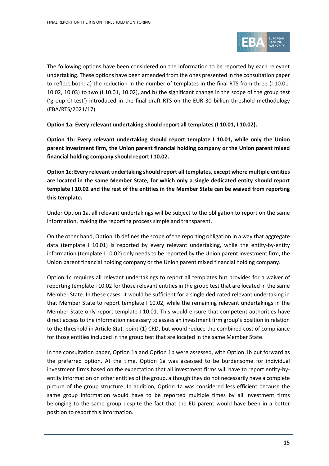

The following options have been considered on the information to be reported by each relevant undertaking. These options have been amended from the ones presented in the consultation paper to reflect both: a) the reduction in the number of templates in the final RTS from three (I 10.01, 10.02, 10.03) to two (I 10.01, 10.02), and b) the significant change in the scope of the group test ('group CI test') introduced in the final draft RTS on the EUR 30 billion threshold methodology (EBA/RTS/2021/17).

**Option 1a: Every relevant undertaking should report all templates (I 10.01, I 10.02).**

**Option 1b: Every relevant undertaking should report template I 10.01, while only the Union parent investment firm, the Union parent financial holding company or the Union parent mixed financial holding company should report I 10.02.**

**Option 1c: Every relevant undertaking should report all templates, except where multiple entities are located in the same Member State, for which only a single dedicated entity should report template I 10.02 and the rest of the entities in the Member State can be waived from reporting this template.** 

Under Option 1a, all relevant undertakings will be subject to the obligation to report on the same information, making the reporting process simple and transparent.

On the other hand, Option 1b defines the scope of the reporting obligation in a way that aggregate data (template I 10.01) is reported by every relevant undertaking, while the entity-by-entity information (template I 10.02) only needs to be reported by the Union parent investment firm, the Union parent financial holding company or the Union parent mixed financial holding company.

Option 1c requires all relevant undertakings to report all templates but provides for a waiver of reporting template I 10.02 for those relevant entities in the group test that are located in the same Member State. In these cases, it would be sufficient for a single dedicated relevant undertaking in that Member State to report template I 10.02, while the remaining relevant undertakings in the Member State only report template I 10.01. This would ensure that competent authorities have direct access to the information necessary to assess an investment firm group's position in relation to the threshold in Article 8(a), point (1) CRD, but would reduce the combined cost of compliance for those entities included in the group test that are located in the same Member State.

In the consultation paper, Option 1a and Option 1b were assessed, with Option 1b put forward as the preferred option. At the time, Option 1a was assessed to be burdensome for individual investment firms based on the expectation that all investment firms will have to report entity-byentity information on other entities of the group, although they do not necessarily have a complete picture of the group structure. In addition, Option 1a was considered less efficient because the same group information would have to be reported multiple times by all investment firms belonging to the same group despite the fact that the EU parent would have been in a better position to report this information.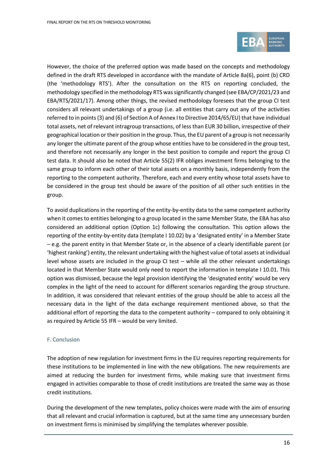

However, the choice of the preferred option was made based on the concepts and methodology defined in the draft RTS developed in accordance with the mandate of Article 8a(6), point (b) CRD (the 'methodology RTS'). After the consultation on the RTS on reporting concluded, the methodology specified in the methodology RTS was significantly changed (see EBA/CP/2021/23 and EBA/RTS/2021/17). Among other things, the revised methodology foresees that the group CI test considers all relevant undertakings of a group (i.e. all entities that carry out any of the activities referred to in points (3) and (6) of Section A of Annex I to Directive 2014/65/EU) that have individual total assets, net of relevant intragroup transactions, of less than EUR 30 billion, irrespective of their geographical location or their position in the group. Thus, the EU parent of a group is not necessarily any longer the ultimate parent of the group whose entities have to be considered in the group test, and therefore not necessarily any longer in the best position to compile and report the group CI test data. It should also be noted that Article 55(2) IFR obliges investment firms belonging to the same group to inform each other of their total assets on a monthly basis, independently from the reporting to the competent authority. Therefore, each and every entity whose total assets have to be considered in the group test should be aware of the position of all other such entities in the group.

To avoid duplications in the reporting of the entity-by-entity data to the same competent authority when it comes to entities belonging to a group located in the same Member State, the EBA has also considered an additional option (Option 1c) following the consultation. This option allows the reporting of the entity-by-entity data (template I 10.02) by a 'designated entity' in a Member State – e.g. the parent entity in that Member State or, in the absence of a clearly identifiable parent (or 'highest ranking') entity, the relevant undertaking with the highest value of total assets at individual level whose assets are included in the group CI test – while all the other relevant undertakings located in that Member State would only need to report the information in template I 10.01. This option was dismissed, because the legal provision identifying the 'designated entity' would be very complex in the light of the need to account for different scenarios regarding the group structure. In addition, it was considered that relevant entities of the group should be able to access all the necessary data in the light of the data exchange requirement mentioned above, so that the additional effort of reporting the data to the competent authority – compared to only obtaining it as required by Article 55 IFR – would be very limited.

#### F. Conclusion

The adoption of new regulation for investment firms in the EU requires reporting requirements for these institutions to be implemented in line with the new obligations. The new requirements are aimed at reducing the burden for investment firms, while making sure that investment firms engaged in activities comparable to those of credit institutions are treated the same way as those credit institutions.

During the development of the new templates, policy choices were made with the aim of ensuring that all relevant and crucial information is captured, but at the same time any unnecessary burden on investment firms is minimised by simplifying the templates wherever possible.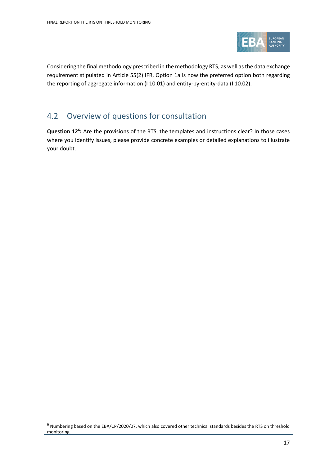

Considering the final methodology prescribed in the methodology RTS, as well as the data exchange requirement stipulated in Article 55(2) IFR, Option 1a is now the preferred option both regarding the reporting of aggregate information (I 10.01) and entity-by-entity-data (I 10.02).

## <span id="page-16-0"></span>4.2 Overview of questions for consultation

**Question 12<sup>6</sup> :** Are the provisions of the RTS, the templates and instructions clear? In those cases where you identify issues, please provide concrete examples or detailed explanations to illustrate your doubt.

 $6$  Numbering based on the EBA/CP/2020/07, which also covered other technical standards besides the RTS on threshold monitoring.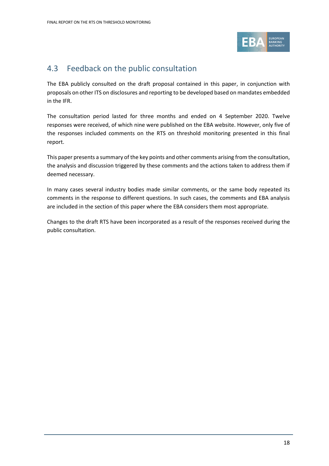

## <span id="page-17-0"></span>4.3 Feedback on the public consultation

The EBA publicly consulted on the draft proposal contained in this paper, in conjunction with proposals on other ITS on disclosures and reporting to be developed based on mandates embedded in the IFR.

The consultation period lasted for three months and ended on 4 September 2020. Twelve responses were received, of which nine were published on the EBA website. However, only five of the responses included comments on the RTS on threshold monitoring presented in this final report.

This paper presents a summary of the key points and other comments arising from the consultation, the analysis and discussion triggered by these comments and the actions taken to address them if deemed necessary.

In many cases several industry bodies made similar comments, or the same body repeated its comments in the response to different questions. In such cases, the comments and EBA analysis are included in the section of this paper where the EBA considers them most appropriate.

Changes to the draft RTS have been incorporated as a result of the responses received during the public consultation.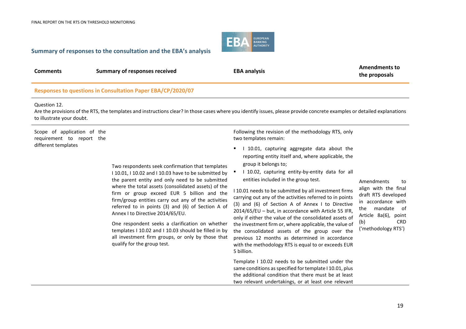

#### **Summary of responses to the consultation and the EBA's analysis**

| <b>Comments</b> | Summary of responses received | <b>EBA analysis</b> | Amendments to<br>the proposals |
|-----------------|-------------------------------|---------------------|--------------------------------|
|                 |                               |                     |                                |

#### **Responses to questions in Consultation Paper EBA/CP/2020/07**

#### Question 12.

Are the provisions of the RTS, the templates and instructions clear? In those cases where you identify issues, please provide concrete examples or detailed explanations to illustrate your doubt.

Scope of application of the requirement to report the different templates

> Two respondents seek confirmation that templates I 10.01, I 10.02 and I 10.03 have to be submitted by the parent entity and only need to be submitted where the total assets (consolidated assets) of the firm or group exceed EUR 5 billion and the firm/group entities carry out any of the activities referred to in points (3) and (6) of Section A of Annex I to Directive 2014/65/EU.

> One respondent seeks a clarification on whether templates I 10.02 and I 10.03 should be filled in by all investment firm groups, or only by those that qualify for the group test.

Following the revision of the methodology RTS, only two templates remain:

- 1 10.01, capturing aggregate data about the reporting entity itself and, where applicable, the group it belongs to;
- I 10.02, capturing entity-by-entity data for all entities included in the group test.

I 10.01 needs to be submitted by all investment firms carrying out any of the activities referred to in points (3) and (6) of Section A of Annex I to Directive 2014/65/EU – but, in accordance with Article 55 IFR, only if either the value of the consolidated assets of the investment firm or, where applicable, the value of the consolidated assets of the group over the previous 12 months as determined in accordance with the methodology RTS is equal to or exceeds EUR 5 billion.

Template I 10.02 needs to be submitted under the same conditions as specified for template I 10.01, plus the additional condition that there must be at least two relevant undertakings, or at least one relevant

Amendments to align with the final draft RTS developed in accordance with the mandate of Article 8a(6), point (b) CRD ('methodology RTS')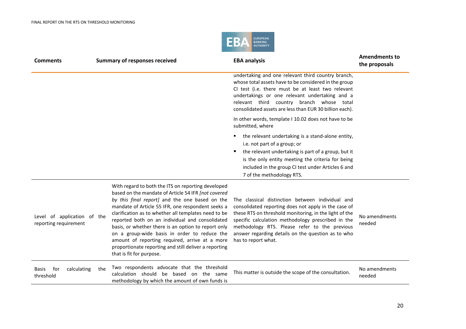

| <b>Comments</b>                                      |     | <b>Summary of responses received</b>                                                                                                                                                                                                                                                                                                                                                                                                                                                                                                                                      | <b>EBA analysis</b>                                                                                                                                                                                                                                                                                                                                    | <b>Amendments to</b><br>the proposals |
|------------------------------------------------------|-----|---------------------------------------------------------------------------------------------------------------------------------------------------------------------------------------------------------------------------------------------------------------------------------------------------------------------------------------------------------------------------------------------------------------------------------------------------------------------------------------------------------------------------------------------------------------------------|--------------------------------------------------------------------------------------------------------------------------------------------------------------------------------------------------------------------------------------------------------------------------------------------------------------------------------------------------------|---------------------------------------|
|                                                      |     |                                                                                                                                                                                                                                                                                                                                                                                                                                                                                                                                                                           | undertaking and one relevant third country branch,<br>whose total assets have to be considered in the group<br>CI test (i.e. there must be at least two relevant<br>undertakings or one relevant undertaking and a<br>relevant third country branch whose total<br>consolidated assets are less than EUR 30 billion each).                             |                                       |
|                                                      |     |                                                                                                                                                                                                                                                                                                                                                                                                                                                                                                                                                                           | In other words, template I 10.02 does not have to be<br>submitted, where                                                                                                                                                                                                                                                                               |                                       |
|                                                      |     |                                                                                                                                                                                                                                                                                                                                                                                                                                                                                                                                                                           | the relevant undertaking is a stand-alone entity,<br>٠<br>i.e. not part of a group; or<br>the relevant undertaking is part of a group, but it<br>٠<br>is the only entity meeting the criteria for being<br>included in the group CI test under Articles 6 and<br>7 of the methodology RTS.                                                             |                                       |
| Level of application of the<br>reporting requirement |     | With regard to both the ITS on reporting developed<br>based on the mandate of Article 54 IFR [not covered<br>by this final report] and the one based on the<br>mandate of Article 55 IFR, one respondent seeks a<br>clarification as to whether all templates need to be<br>reported both on an individual and consolidated<br>basis, or whether there is an option to report only<br>on a group-wide basis in order to reduce the<br>amount of reporting required, arrive at a more<br>proportionate reporting and still deliver a reporting<br>that is fit for purpose. | The classical distinction between individual and<br>consolidated reporting does not apply in the case of<br>these RTS on threshold monitoring, in the light of the<br>specific calculation methodology prescribed in the<br>methodology RTS. Please refer to the previous<br>answer regarding details on the question as to who<br>has to report what. | No amendments<br>needed               |
| for<br>calculating<br><b>Basis</b><br>threshold      | the | Two respondents advocate that the threshold<br>calculation should be based on the same<br>methodology by which the amount of own funds is                                                                                                                                                                                                                                                                                                                                                                                                                                 | This matter is outside the scope of the consultation.                                                                                                                                                                                                                                                                                                  | No amendments<br>needed               |